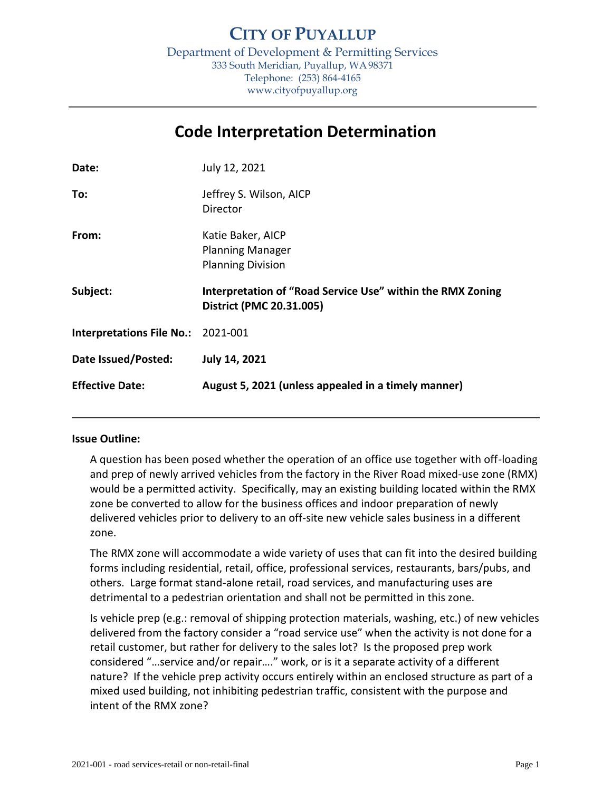Department of Development & Permitting Services 333 South Meridian, Puyallup, WA98371 Telephone: (253) 864-4165 www.cityofpuyallup.org

# **Code Interpretation Determination**

| Date:                            | July 12, 2021                                                                          |
|----------------------------------|----------------------------------------------------------------------------------------|
| To:                              | Jeffrey S. Wilson, AICP<br>Director                                                    |
| From:                            | Katie Baker, AICP<br><b>Planning Manager</b><br><b>Planning Division</b>               |
|                                  |                                                                                        |
| Subject:                         | Interpretation of "Road Service Use" within the RMX Zoning<br>District (PMC 20.31.005) |
| <b>Interpretations File No.:</b> | 2021-001                                                                               |
| Date Issued/Posted:              | <b>July 14, 2021</b>                                                                   |

## **Issue Outline:**

A question has been posed whether the operation of an office use together with off-loading and prep of newly arrived vehicles from the factory in the River Road mixed-use zone (RMX) would be a permitted activity. Specifically, may an existing building located within the RMX zone be converted to allow for the business offices and indoor preparation of newly delivered vehicles prior to delivery to an off-site new vehicle sales business in a different zone.

The RMX zone will accommodate a wide variety of uses that can fit into the desired building forms including residential, retail, office, professional services, restaurants, bars/pubs, and others. Large format stand-alone retail, road services, and manufacturing uses are detrimental to a pedestrian orientation and shall not be permitted in this zone.

Is vehicle prep (e.g.: removal of shipping protection materials, washing, etc.) of new vehicles delivered from the factory consider a "road service use" when the activity is not done for a retail customer, but rather for delivery to the sales lot? Is the proposed prep work considered "…service and/or repair…." work, or is it a separate activity of a different nature? If the vehicle prep activity occurs entirely within an enclosed structure as part of a mixed used building, not inhibiting pedestrian traffic, consistent with the purpose and intent of the RMX zone?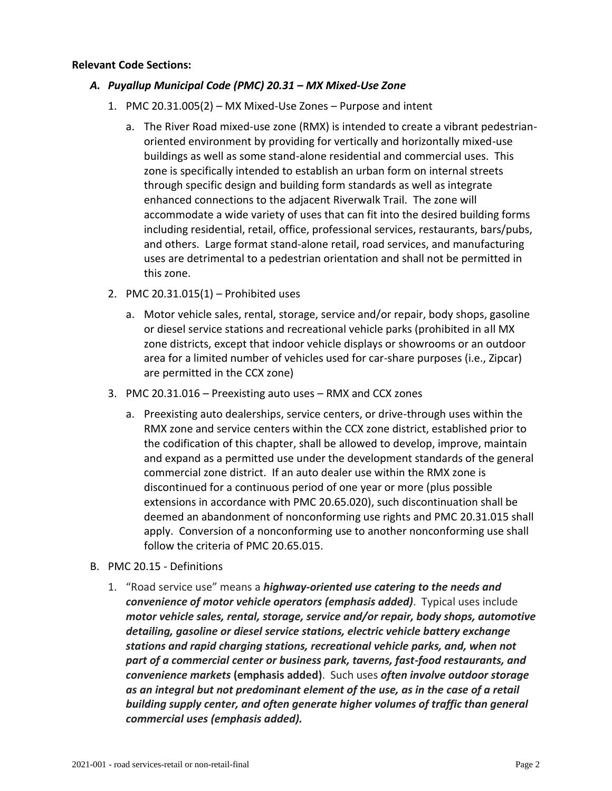#### **Relevant Code Sections:**

## *A. Puyallup Municipal Code (PMC) 20.31 – MX Mixed-Use Zone*

- 1. PMC 20.31.005(2) MX Mixed-Use Zones Purpose and intent
	- a. The River Road mixed-use zone (RMX) is intended to create a vibrant pedestrianoriented environment by providing for vertically and horizontally mixed-use buildings as well as some stand-alone residential and commercial uses. This zone is specifically intended to establish an urban form on internal streets through specific design and building form standards as well as integrate enhanced connections to the adjacent Riverwalk Trail. The zone will accommodate a wide variety of uses that can fit into the desired building forms including residential, retail, office, professional services, restaurants, bars/pubs, and others. Large format stand-alone retail, road services, and manufacturing uses are detrimental to a pedestrian orientation and shall not be permitted in this zone.
- 2. PMC 20.31.015(1) Prohibited uses
	- a. Motor vehicle sales, rental, storage, service and/or repair, body shops, gasoline or diesel service stations and recreational vehicle parks (prohibited in all MX zone districts, except that indoor vehicle displays or showrooms or an outdoor area for a limited number of vehicles used for car-share purposes (i.e., Zipcar) are permitted in the CCX zone)
- 3. PMC 20.31.016 Preexisting auto uses RMX and CCX zones
	- a. Preexisting auto dealerships, service centers, or drive-through uses within the RMX zone and service centers within the CCX zone district, established prior to the codification of this chapter, shall be allowed to develop, improve, maintain and expand as a permitted use under the development standards of the general commercial zone district. If an auto dealer use within the RMX zone is discontinued for a continuous period of one year or more (plus possible extensions in accordance with PMC [20.65.020\)](https://www.codepublishing.com/WA/Puyallup/#!/Puyallup20/Puyallup2065.html#20.65.020), such discontinuation shall be deemed an abandonment of nonconforming use rights and PMC [20.31.015](https://www.codepublishing.com/WA/Puyallup/#!/Puyallup20/Puyallup2031.html#20.31.015) shall apply. Conversion of a nonconforming use to another nonconforming use shall follow the criteria of PMC [20.65.015.](https://www.codepublishing.com/WA/Puyallup/#!/Puyallup20/Puyallup2065.html#20.65.015)
- B. PMC 20.15 Definitions
	- 1. "Road service use" means a *highway-oriented use catering to the needs and convenience of motor vehicle operators (emphasis added)*. Typical uses include *motor vehicle sales, rental, storage, service and/or repair, body shops, automotive detailing, gasoline or diesel service stations, electric vehicle battery exchange stations and rapid charging stations, recreational vehicle parks, and, when not part of a commercial center or business park, taverns, fast-food restaurants, and convenience markets* **(emphasis added)**. Such uses *often involve outdoor storage as an integral but not predominant element of the use, as in the case of a retail building supply center, and often generate higher volumes of traffic than general commercial uses (emphasis added).*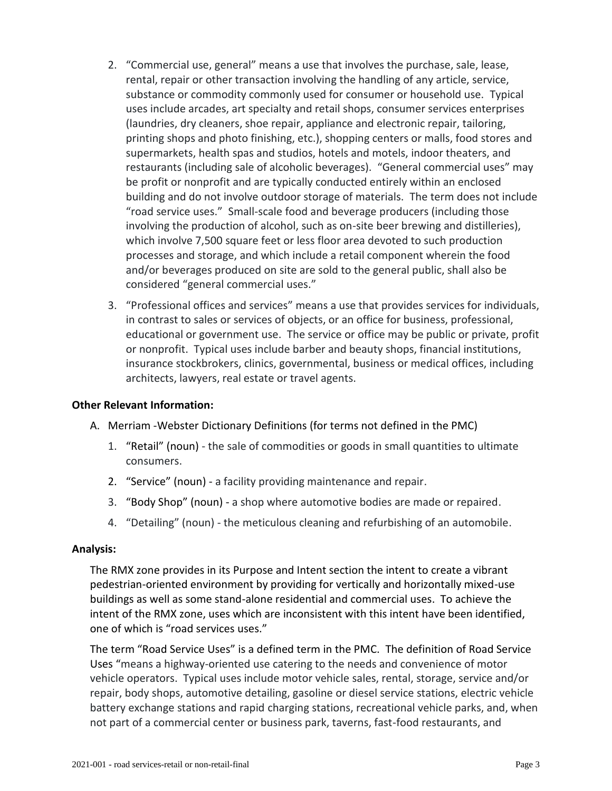- 2. "Commercial use, general" means a use that involves the purchase, sale, lease, rental, repair or other transaction involving the handling of any article, service, substance or commodity commonly used for consumer or household use. Typical uses include arcades, art specialty and retail shops, consumer services enterprises (laundries, dry cleaners, shoe repair, appliance and electronic repair, tailoring, printing shops and photo finishing, etc.), shopping centers or malls, food stores and supermarkets, health spas and studios, hotels and motels, indoor theaters, and restaurants (including sale of alcoholic beverages). "General commercial uses" may be profit or nonprofit and are typically conducted entirely within an enclosed building and do not involve outdoor storage of materials. The term does not include "road service uses." Small-scale food and beverage producers (including those involving the production of alcohol, such as on-site beer brewing and distilleries), which involve 7,500 square feet or less floor area devoted to such production processes and storage, and which include a retail component wherein the food and/or beverages produced on site are sold to the general public, shall also be considered "general commercial uses."
- 3. "Professional offices and services" means a use that provides services for individuals, in contrast to sales or services of objects, or an office for business, professional, educational or government use. The service or office may be public or private, profit or nonprofit. Typical uses include barber and beauty shops, financial institutions, insurance stockbrokers, clinics, governmental, business or medical offices, including architects, lawyers, real estate or travel agents.

## **Other Relevant Information:**

- A. Merriam -Webster Dictionary Definitions (for terms not defined in the PMC)
	- 1. "Retail" (noun) the sale of commodities or goods in small quantities to ultimate consumers.
	- 2. "Service" (noun) a facility providing maintenance and repair.
	- 3. "Body Shop" (noun) a shop where automotive bodies are made or repaired.
	- 4. "Detailing" (noun) the meticulous cleaning and refurbishing of an automobile.

#### **Analysis:**

The RMX zone provides in its Purpose and Intent section the intent to create a vibrant pedestrian-oriented environment by providing for vertically and horizontally mixed-use buildings as well as some stand-alone residential and commercial uses. To achieve the intent of the RMX zone, uses which are inconsistent with this intent have been identified, one of which is "road services uses."

The term "Road Service Uses" is a defined term in the PMC. The definition of Road Service Uses "means a highway-oriented use catering to the needs and convenience of motor vehicle operators. Typical uses include motor vehicle sales, rental, storage, service and/or repair, body shops, automotive detailing, gasoline or diesel service stations, electric vehicle battery exchange stations and rapid charging stations, recreational vehicle parks, and, when not part of a commercial center or business park, taverns, fast-food restaurants, and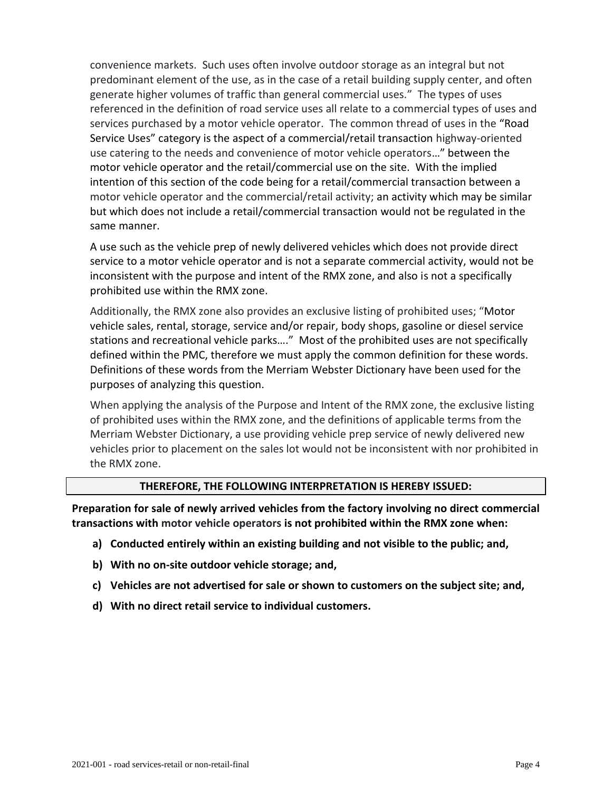convenience markets. Such uses often involve outdoor storage as an integral but not predominant element of the use, as in the case of a retail building supply center, and often generate higher volumes of traffic than general commercial uses." The types of uses referenced in the definition of road service uses all relate to a commercial types of uses and services purchased by a motor vehicle operator. The common thread of uses in the "Road Service Uses" category is the aspect of a commercial/retail transaction highway-oriented use catering to the needs and convenience of motor vehicle operators…" between the motor vehicle operator and the retail/commercial use on the site. With the implied intention of this section of the code being for a retail/commercial transaction between a motor vehicle operator and the commercial/retail activity; an activity which may be similar but which does not include a retail/commercial transaction would not be regulated in the same manner.

A use such as the vehicle prep of newly delivered vehicles which does not provide direct service to a motor vehicle operator and is not a separate commercial activity, would not be inconsistent with the purpose and intent of the RMX zone, and also is not a specifically prohibited use within the RMX zone.

Additionally, the RMX zone also provides an exclusive listing of prohibited uses; "Motor vehicle sales, rental, storage, service and/or repair, body shops, gasoline or diesel service stations and recreational vehicle parks…." Most of the prohibited uses are not specifically defined within the PMC, therefore we must apply the common definition for these words. Definitions of these words from the Merriam Webster Dictionary have been used for the purposes of analyzing this question.

When applying the analysis of the Purpose and Intent of the RMX zone, the exclusive listing of prohibited uses within the RMX zone, and the definitions of applicable terms from the Merriam Webster Dictionary, a use providing vehicle prep service of newly delivered new vehicles prior to placement on the sales lot would not be inconsistent with nor prohibited in the RMX zone.

## **THEREFORE, THE FOLLOWING INTERPRETATION IS HEREBY ISSUED:**

**Preparation for sale of newly arrived vehicles from the factory involving no direct commercial transactions with motor vehicle operators is not prohibited within the RMX zone when:**

- **a) Conducted entirely within an existing building and not visible to the public; and,**
- **b) With no on-site outdoor vehicle storage; and,**
- **c) Vehicles are not advertised for sale or shown to customers on the subject site; and,**
- **d) With no direct retail service to individual customers.**